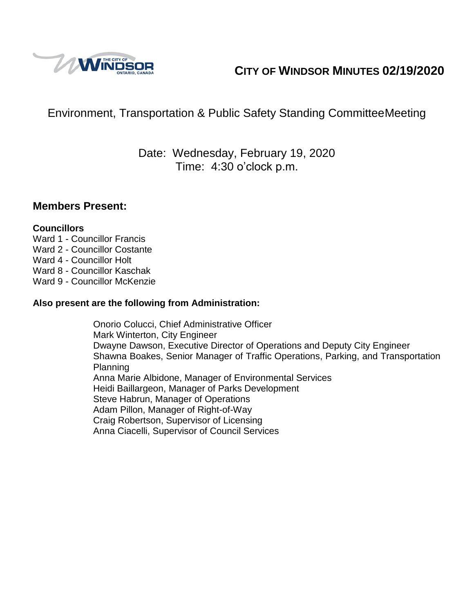

# **CITY OF WINDSOR MINUTES 02/19/2020**

# Environment, Transportation & Public Safety Standing CommitteeMeeting

## Date: Wednesday, February 19, 2020 Time: 4:30 o'clock p.m.

#### **Members Present:**

#### **Councillors**

- Ward 1 Councillor Francis
- Ward 2 Councillor Costante
- Ward 4 Councillor Holt
- Ward 8 Councillor Kaschak
- Ward 9 Councillor McKenzie

#### **Also present are the following from Administration:**

Onorio Colucci, Chief Administrative Officer Mark Winterton, City Engineer Dwayne Dawson, Executive Director of Operations and Deputy City Engineer Shawna Boakes, Senior Manager of Traffic Operations, Parking, and Transportation Planning Anna Marie Albidone, Manager of Environmental Services Heidi Baillargeon, Manager of Parks Development Steve Habrun, Manager of Operations Adam Pillon, Manager of Right-of-Way Craig Robertson, Supervisor of Licensing Anna Ciacelli, Supervisor of Council Services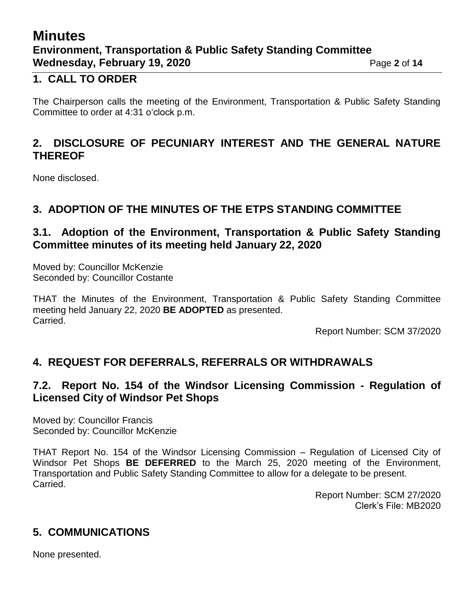# **Minutes Environment, Transportation & Public Safety Standing Committee Wednesday, February 19, 2020** Page 2 of 14

### **1. CALL TO ORDER**

The Chairperson calls the meeting of the Environment, Transportation & Public Safety Standing Committee to order at 4:31 o'clock p.m.

## **2. DISCLOSURE OF PECUNIARY INTEREST AND THE GENERAL NATURE THEREOF**

None disclosed.

## **3. ADOPTION OF THE MINUTES OF THE ETPS STANDING COMMITTEE**

#### **3.1. Adoption of the Environment, Transportation & Public Safety Standing Committee minutes of its meeting held January 22, 2020**

Moved by: Councillor McKenzie Seconded by: Councillor Costante

THAT the Minutes of the Environment, Transportation & Public Safety Standing Committee meeting held January 22, 2020 **BE ADOPTED** as presented. Carried.

Report Number: SCM 37/2020

## **4. REQUEST FOR DEFERRALS, REFERRALS OR WITHDRAWALS**

## **7.2. Report No. 154 of the Windsor Licensing Commission - Regulation of Licensed City of Windsor Pet Shops**

Moved by: Councillor Francis Seconded by: Councillor McKenzie

THAT Report No. 154 of the Windsor Licensing Commission – Regulation of Licensed City of Windsor Pet Shops **BE DEFERRED** to the March 25, 2020 meeting of the Environment, Transportation and Public Safety Standing Committee to allow for a delegate to be present. Carried.

> Report Number: SCM 27/2020 Clerk's File: MB2020

## **5. COMMUNICATIONS**

None presented.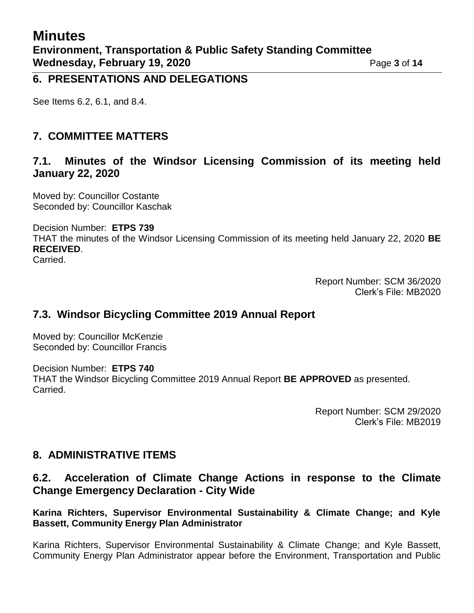#### **6. PRESENTATIONS AND DELEGATIONS**

See Items 6.2, 6.1, and 8.4.

## **7. COMMITTEE MATTERS**

### **7.1. Minutes of the Windsor Licensing Commission of its meeting held January 22, 2020**

Moved by: Councillor Costante Seconded by: Councillor Kaschak

Decision Number: **ETPS 739**

THAT the minutes of the Windsor Licensing Commission of its meeting held January 22, 2020 **BE RECEIVED**.

Carried.

Report Number: SCM 36/2020 Clerk's File: MB2020

## **7.3. Windsor Bicycling Committee 2019 Annual Report**

Moved by: Councillor McKenzie Seconded by: Councillor Francis

Decision Number: **ETPS 740** THAT the Windsor Bicycling Committee 2019 Annual Report **BE APPROVED** as presented. Carried.

> Report Number: SCM 29/2020 Clerk's File: MB2019

## **8. ADMINISTRATIVE ITEMS**

## **6.2. Acceleration of Climate Change Actions in response to the Climate Change Emergency Declaration - City Wide**

#### **Karina Richters, Supervisor Environmental Sustainability & Climate Change; and Kyle Bassett, Community Energy Plan Administrator**

Karina Richters, Supervisor Environmental Sustainability & Climate Change; and Kyle Bassett, Community Energy Plan Administrator appear before the Environment, Transportation and Public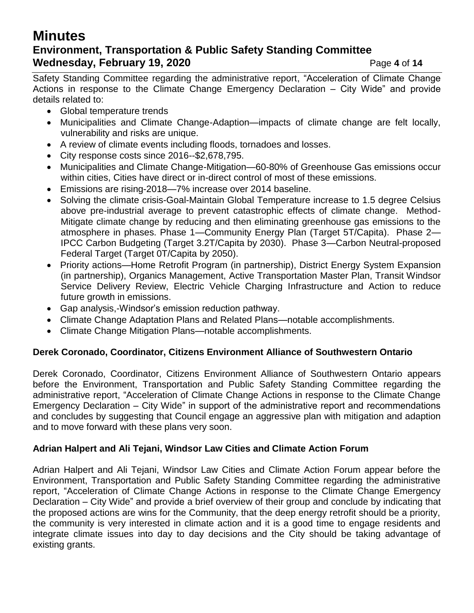# **Minutes Environment, Transportation & Public Safety Standing Committee Wednesday, February 19, 2020** Page 4 of 14

Safety Standing Committee regarding the administrative report, "Acceleration of Climate Change Actions in response to the Climate Change Emergency Declaration – City Wide" and provide details related to:

- Global temperature trends
- Municipalities and Climate Change-Adaption—impacts of climate change are felt locally, vulnerability and risks are unique.
- A review of climate events including floods, tornadoes and losses.
- City response costs since 2016--\$2,678,795.
- Municipalities and Climate Change-Mitigation—60-80% of Greenhouse Gas emissions occur within cities, Cities have direct or in-direct control of most of these emissions.
- Emissions are rising-2018—7% increase over 2014 baseline.
- Solving the climate crisis-Goal-Maintain Global Temperature increase to 1.5 degree Celsius above pre-industrial average to prevent catastrophic effects of climate change. Method-Mitigate climate change by reducing and then eliminating greenhouse gas emissions to the atmosphere in phases. Phase 1—Community Energy Plan (Target 5T/Capita). Phase 2— IPCC Carbon Budgeting (Target 3.2T/Capita by 2030). Phase 3—Carbon Neutral-proposed Federal Target (Target 0T/Capita by 2050).
- Priority actions—Home Retrofit Program (in partnership), District Energy System Expansion (in partnership), Organics Management, Active Transportation Master Plan, Transit Windsor Service Delivery Review, Electric Vehicle Charging Infrastructure and Action to reduce future growth in emissions.
- Gap analysis,-Windsor's emission reduction pathway.
- Climate Change Adaptation Plans and Related Plans—notable accomplishments.
- Climate Change Mitigation Plans—notable accomplishments.

#### **Derek Coronado, Coordinator, Citizens Environment Alliance of Southwestern Ontario**

Derek Coronado, Coordinator, Citizens Environment Alliance of Southwestern Ontario appears before the Environment, Transportation and Public Safety Standing Committee regarding the administrative report, "Acceleration of Climate Change Actions in response to the Climate Change Emergency Declaration – City Wide" in support of the administrative report and recommendations and concludes by suggesting that Council engage an aggressive plan with mitigation and adaption and to move forward with these plans very soon.

#### **Adrian Halpert and Ali Tejani, Windsor Law Cities and Climate Action Forum**

Adrian Halpert and Ali Tejani, Windsor Law Cities and Climate Action Forum appear before the Environment, Transportation and Public Safety Standing Committee regarding the administrative report, "Acceleration of Climate Change Actions in response to the Climate Change Emergency Declaration – City Wide" and provide a brief overview of their group and conclude by indicating that the proposed actions are wins for the Community, that the deep energy retrofit should be a priority, the community is very interested in climate action and it is a good time to engage residents and integrate climate issues into day to day decisions and the City should be taking advantage of existing grants.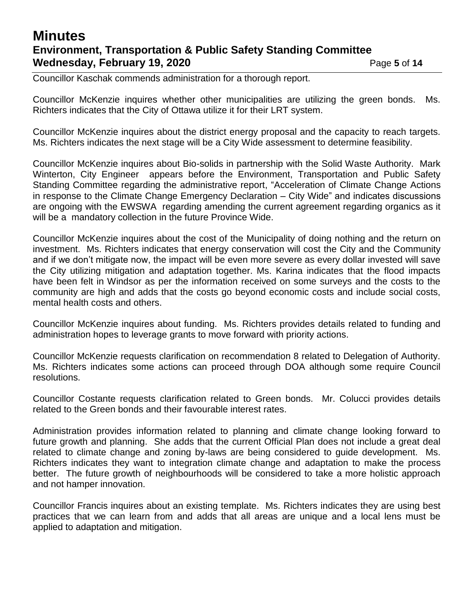## **Minutes Environment, Transportation & Public Safety Standing Committee Wednesday, February 19, 2020** Page 5 of 14

Councillor Kaschak commends administration for a thorough report.

Councillor McKenzie inquires whether other municipalities are utilizing the green bonds. Ms. Richters indicates that the City of Ottawa utilize it for their LRT system.

Councillor McKenzie inquires about the district energy proposal and the capacity to reach targets. Ms. Richters indicates the next stage will be a City Wide assessment to determine feasibility.

Councillor McKenzie inquires about Bio-solids in partnership with the Solid Waste Authority. Mark Winterton, City Engineer appears before the Environment, Transportation and Public Safety Standing Committee regarding the administrative report, "Acceleration of Climate Change Actions in response to the Climate Change Emergency Declaration – City Wide" and indicates discussions are ongoing with the EWSWA regarding amending the current agreement regarding organics as it will be a mandatory collection in the future Province Wide.

Councillor McKenzie inquires about the cost of the Municipality of doing nothing and the return on investment. Ms. Richters indicates that energy conservation will cost the City and the Community and if we don't mitigate now, the impact will be even more severe as every dollar invested will save the City utilizing mitigation and adaptation together. Ms. Karina indicates that the flood impacts have been felt in Windsor as per the information received on some surveys and the costs to the community are high and adds that the costs go beyond economic costs and include social costs, mental health costs and others.

Councillor McKenzie inquires about funding. Ms. Richters provides details related to funding and administration hopes to leverage grants to move forward with priority actions.

Councillor McKenzie requests clarification on recommendation 8 related to Delegation of Authority. Ms. Richters indicates some actions can proceed through DOA although some require Council resolutions.

Councillor Costante requests clarification related to Green bonds. Mr. Colucci provides details related to the Green bonds and their favourable interest rates.

Administration provides information related to planning and climate change looking forward to future growth and planning. She adds that the current Official Plan does not include a great deal related to climate change and zoning by-laws are being considered to guide development. Ms. Richters indicates they want to integration climate change and adaptation to make the process better. The future growth of neighbourhoods will be considered to take a more holistic approach and not hamper innovation.

Councillor Francis inquires about an existing template. Ms. Richters indicates they are using best practices that we can learn from and adds that all areas are unique and a local lens must be applied to adaptation and mitigation.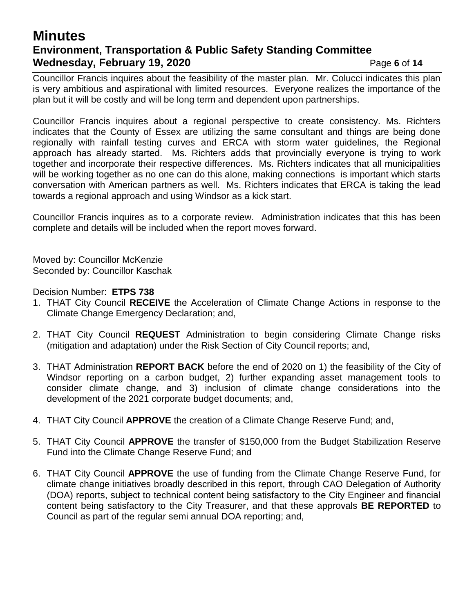## **Minutes Environment, Transportation & Public Safety Standing Committee Wednesday, February 19, 2020** Page 6 of 14

Councillor Francis inquires about the feasibility of the master plan. Mr. Colucci indicates this plan is very ambitious and aspirational with limited resources. Everyone realizes the importance of the plan but it will be costly and will be long term and dependent upon partnerships.

Councillor Francis inquires about a regional perspective to create consistency. Ms. Richters indicates that the County of Essex are utilizing the same consultant and things are being done regionally with rainfall testing curves and ERCA with storm water guidelines, the Regional approach has already started. Ms. Richters adds that provincially everyone is trying to work together and incorporate their respective differences. Ms. Richters indicates that all municipalities will be working together as no one can do this alone, making connections is important which starts conversation with American partners as well. Ms. Richters indicates that ERCA is taking the lead towards a regional approach and using Windsor as a kick start.

Councillor Francis inquires as to a corporate review. Administration indicates that this has been complete and details will be included when the report moves forward.

Moved by: Councillor McKenzie Seconded by: Councillor Kaschak

Decision Number: **ETPS 738**

- 1. THAT City Council **RECEIVE** the Acceleration of Climate Change Actions in response to the Climate Change Emergency Declaration; and,
- 2. THAT City Council **REQUEST** Administration to begin considering Climate Change risks (mitigation and adaptation) under the Risk Section of City Council reports; and,
- 3. THAT Administration **REPORT BACK** before the end of 2020 on 1) the feasibility of the City of Windsor reporting on a carbon budget, 2) further expanding asset management tools to consider climate change, and 3) inclusion of climate change considerations into the development of the 2021 corporate budget documents; and,
- 4. THAT City Council **APPROVE** the creation of a Climate Change Reserve Fund; and,
- 5. THAT City Council **APPROVE** the transfer of \$150,000 from the Budget Stabilization Reserve Fund into the Climate Change Reserve Fund; and
- 6. THAT City Council **APPROVE** the use of funding from the Climate Change Reserve Fund, for climate change initiatives broadly described in this report, through CAO Delegation of Authority (DOA) reports, subject to technical content being satisfactory to the City Engineer and financial content being satisfactory to the City Treasurer, and that these approvals **BE REPORTED** to Council as part of the regular semi annual DOA reporting; and,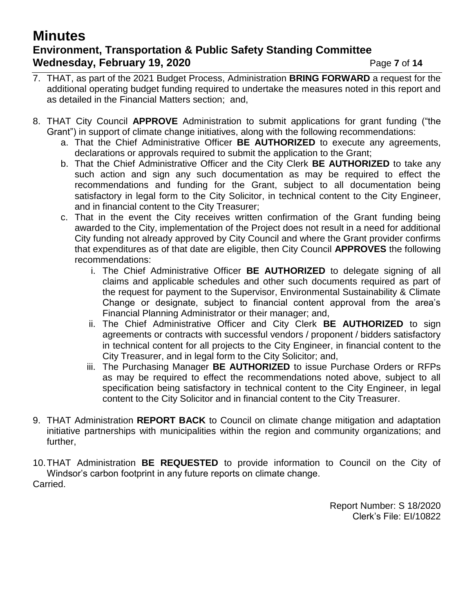# **Minutes Environment, Transportation & Public Safety Standing Committee Wednesday, February 19, 2020** Page 7 of 14

- 7. THAT, as part of the 2021 Budget Process, Administration **BRING FORWARD** a request for the additional operating budget funding required to undertake the measures noted in this report and as detailed in the Financial Matters section; and,
- 8. THAT City Council **APPROVE** Administration to submit applications for grant funding ("the Grant") in support of climate change initiatives, along with the following recommendations:
	- a. That the Chief Administrative Officer **BE AUTHORIZED** to execute any agreements, declarations or approvals required to submit the application to the Grant;
	- b. That the Chief Administrative Officer and the City Clerk **BE AUTHORIZED** to take any such action and sign any such documentation as may be required to effect the recommendations and funding for the Grant, subject to all documentation being satisfactory in legal form to the City Solicitor, in technical content to the City Engineer, and in financial content to the City Treasurer;
	- c. That in the event the City receives written confirmation of the Grant funding being awarded to the City, implementation of the Project does not result in a need for additional City funding not already approved by City Council and where the Grant provider confirms that expenditures as of that date are eligible, then City Council **APPROVES** the following recommendations:
		- i. The Chief Administrative Officer **BE AUTHORIZED** to delegate signing of all claims and applicable schedules and other such documents required as part of the request for payment to the Supervisor, Environmental Sustainability & Climate Change or designate, subject to financial content approval from the area's Financial Planning Administrator or their manager; and,
		- ii. The Chief Administrative Officer and City Clerk **BE AUTHORIZED** to sign agreements or contracts with successful vendors / proponent / bidders satisfactory in technical content for all projects to the City Engineer, in financial content to the City Treasurer, and in legal form to the City Solicitor; and,
		- iii. The Purchasing Manager **BE AUTHORIZED** to issue Purchase Orders or RFPs as may be required to effect the recommendations noted above, subject to all specification being satisfactory in technical content to the City Engineer, in legal content to the City Solicitor and in financial content to the City Treasurer.
- 9. THAT Administration **REPORT BACK** to Council on climate change mitigation and adaptation initiative partnerships with municipalities within the region and community organizations; and further,
- 10.THAT Administration **BE REQUESTED** to provide information to Council on the City of Windsor's carbon footprint in any future reports on climate change. Carried.

Report Number: S 18/2020 Clerk's File: EI/10822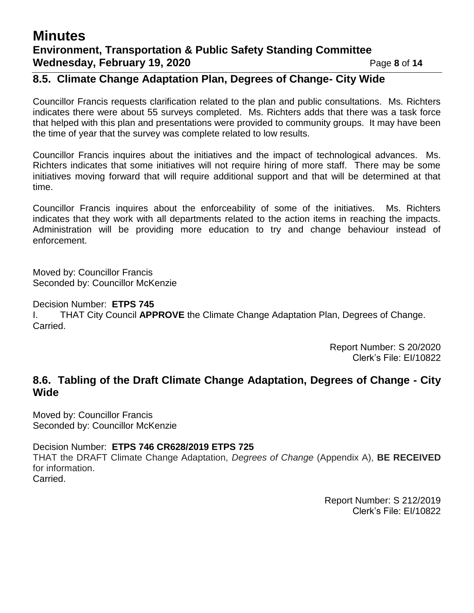# **Minutes Environment, Transportation & Public Safety Standing Committee Wednesday, February 19, 2020** Page 8 of 14

## **8.5. Climate Change Adaptation Plan, Degrees of Change- City Wide**

Councillor Francis requests clarification related to the plan and public consultations. Ms. Richters indicates there were about 55 surveys completed. Ms. Richters adds that there was a task force that helped with this plan and presentations were provided to community groups. It may have been the time of year that the survey was complete related to low results.

Councillor Francis inquires about the initiatives and the impact of technological advances. Ms. Richters indicates that some initiatives will not require hiring of more staff. There may be some initiatives moving forward that will require additional support and that will be determined at that time.

Councillor Francis inquires about the enforceability of some of the initiatives. Ms. Richters indicates that they work with all departments related to the action items in reaching the impacts. Administration will be providing more education to try and change behaviour instead of enforcement.

Moved by: Councillor Francis Seconded by: Councillor McKenzie

Decision Number: **ETPS 745**

I. THAT City Council **APPROVE** the Climate Change Adaptation Plan, Degrees of Change. Carried.

> Report Number: S 20/2020 Clerk's File: EI/10822

## **8.6. Tabling of the Draft Climate Change Adaptation, Degrees of Change - City Wide**

Moved by: Councillor Francis Seconded by: Councillor McKenzie

Decision Number: **ETPS 746 CR628/2019 ETPS 725** THAT the DRAFT Climate Change Adaptation, *Degrees of Change* (Appendix A), **BE RECEIVED**  for information. Carried.

> Report Number: S 212/2019 Clerk's File: EI/10822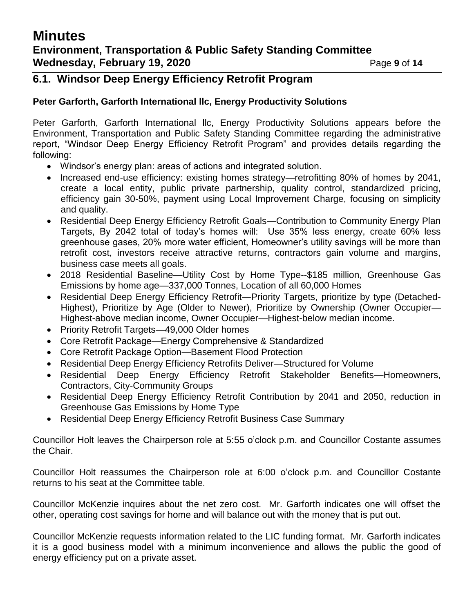## **Minutes Environment, Transportation & Public Safety Standing Committee Wednesday, February 19, 2020** Page 9 of 14

#### **6.1. Windsor Deep Energy Efficiency Retrofit Program**

#### **Peter Garforth, Garforth International llc, Energy Productivity Solutions**

Peter Garforth, Garforth International llc, Energy Productivity Solutions appears before the Environment, Transportation and Public Safety Standing Committee regarding the administrative report, "Windsor Deep Energy Efficiency Retrofit Program" and provides details regarding the following:

- Windsor's energy plan: areas of actions and integrated solution.
- Increased end-use efficiency: existing homes strategy—retrofitting 80% of homes by 2041, create a local entity, public private partnership, quality control, standardized pricing, efficiency gain 30-50%, payment using Local Improvement Charge, focusing on simplicity and quality.
- Residential Deep Energy Efficiency Retrofit Goals—Contribution to Community Energy Plan Targets, By 2042 total of today's homes will: Use 35% less energy, create 60% less greenhouse gases, 20% more water efficient, Homeowner's utility savings will be more than retrofit cost, investors receive attractive returns, contractors gain volume and margins, business case meets all goals.
- 2018 Residential Baseline—Utility Cost by Home Type--\$185 million, Greenhouse Gas Emissions by home age—337,000 Tonnes, Location of all 60,000 Homes
- Residential Deep Energy Efficiency Retrofit—Priority Targets, prioritize by type (Detached-Highest), Prioritize by Age (Older to Newer), Prioritize by Ownership (Owner Occupier— Highest-above median income, Owner Occupier—Highest-below median income.
- Priority Retrofit Targets—49,000 Older homes
- Core Retrofit Package—Energy Comprehensive & Standardized
- Core Retrofit Package Option—Basement Flood Protection
- Residential Deep Energy Efficiency Retrofits Deliver—Structured for Volume
- Residential Deep Energy Efficiency Retrofit Stakeholder Benefits—Homeowners, Contractors, City-Community Groups
- Residential Deep Energy Efficiency Retrofit Contribution by 2041 and 2050, reduction in Greenhouse Gas Emissions by Home Type
- Residential Deep Energy Efficiency Retrofit Business Case Summary

Councillor Holt leaves the Chairperson role at 5:55 o'clock p.m. and Councillor Costante assumes the Chair.

Councillor Holt reassumes the Chairperson role at 6:00 o'clock p.m. and Councillor Costante returns to his seat at the Committee table.

Councillor McKenzie inquires about the net zero cost. Mr. Garforth indicates one will offset the other, operating cost savings for home and will balance out with the money that is put out.

Councillor McKenzie requests information related to the LIC funding format. Mr. Garforth indicates it is a good business model with a minimum inconvenience and allows the public the good of energy efficiency put on a private asset.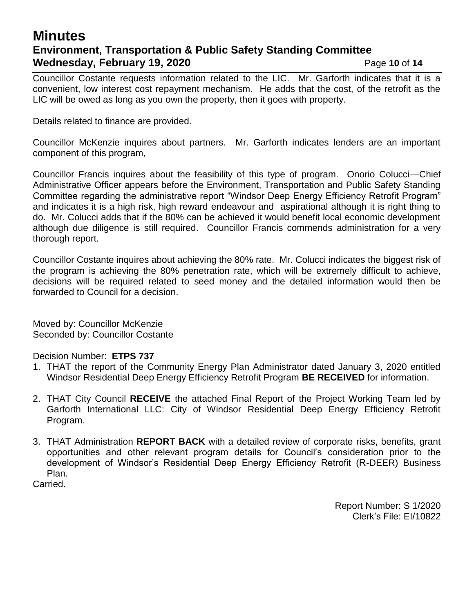## **Minutes Environment, Transportation & Public Safety Standing Committee Wednesday, February 19, 2020** Page 10 of 14

Councillor Costante requests information related to the LIC. Mr. Garforth indicates that it is a convenient, low interest cost repayment mechanism. He adds that the cost, of the retrofit as the LIC will be owed as long as you own the property, then it goes with property.

Details related to finance are provided.

Councillor McKenzie inquires about partners. Mr. Garforth indicates lenders are an important component of this program,

Councillor Francis inquires about the feasibility of this type of program. Onorio Colucci—Chief Administrative Officer appears before the Environment, Transportation and Public Safety Standing Committee regarding the administrative report "Windsor Deep Energy Efficiency Retrofit Program" and indicates it is a high risk, high reward endeavour and aspirational although it is right thing to do. Mr. Colucci adds that if the 80% can be achieved it would benefit local economic development although due diligence is still required. Councillor Francis commends administration for a very thorough report.

Councillor Costante inquires about achieving the 80% rate. Mr. Colucci indicates the biggest risk of the program is achieving the 80% penetration rate, which will be extremely difficult to achieve, decisions will be required related to seed money and the detailed information would then be forwarded to Council for a decision.

Moved by: Councillor McKenzie Seconded by: Councillor Costante

Decision Number: **ETPS 737**

- 1. THAT the report of the Community Energy Plan Administrator dated January 3, 2020 entitled Windsor Residential Deep Energy Efficiency Retrofit Program **BE RECEIVED** for information.
- 2. THAT City Council **RECEIVE** the attached Final Report of the Project Working Team led by Garforth International LLC: City of Windsor Residential Deep Energy Efficiency Retrofit Program.
- 3. THAT Administration **REPORT BACK** with a detailed review of corporate risks, benefits, grant opportunities and other relevant program details for Council's consideration prior to the development of Windsor's Residential Deep Energy Efficiency Retrofit (R-DEER) Business Plan.
- Carried.

Report Number: S 1/2020 Clerk's File: EI/10822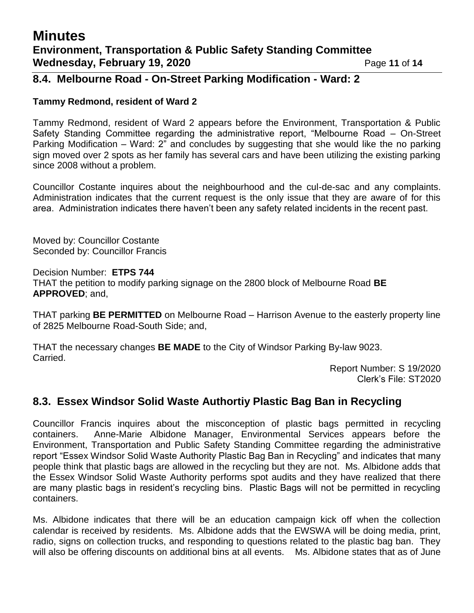## **Minutes Environment, Transportation & Public Safety Standing Committee Wednesday, February 19, 2020** Page 11 of 14

## **8.4. Melbourne Road - On-Street Parking Modification - Ward: 2**

#### **Tammy Redmond, resident of Ward 2**

Tammy Redmond, resident of Ward 2 appears before the Environment, Transportation & Public Safety Standing Committee regarding the administrative report, "Melbourne Road – On-Street Parking Modification – Ward: 2" and concludes by suggesting that she would like the no parking sign moved over 2 spots as her family has several cars and have been utilizing the existing parking since 2008 without a problem.

Councillor Costante inquires about the neighbourhood and the cul-de-sac and any complaints. Administration indicates that the current request is the only issue that they are aware of for this area. Administration indicates there haven't been any safety related incidents in the recent past.

Moved by: Councillor Costante Seconded by: Councillor Francis

Decision Number: **ETPS 744** THAT the petition to modify parking signage on the 2800 block of Melbourne Road **BE APPROVED**; and,

THAT parking **BE PERMITTED** on Melbourne Road – Harrison Avenue to the easterly property line of 2825 Melbourne Road-South Side; and,

THAT the necessary changes **BE MADE** to the City of Windsor Parking By-law 9023. Carried.

Report Number: S 19/2020 Clerk's File: ST2020

## **8.3. Essex Windsor Solid Waste Authortiy Plastic Bag Ban in Recycling**

Councillor Francis inquires about the misconception of plastic bags permitted in recycling containers. Anne-Marie Albidone Manager, Environmental Services appears before the Environment, Transportation and Public Safety Standing Committee regarding the administrative report "Essex Windsor Solid Waste Authority Plastic Bag Ban in Recycling" and indicates that many people think that plastic bags are allowed in the recycling but they are not. Ms. Albidone adds that the Essex Windsor Solid Waste Authority performs spot audits and they have realized that there are many plastic bags in resident's recycling bins. Plastic Bags will not be permitted in recycling containers.

Ms. Albidone indicates that there will be an education campaign kick off when the collection calendar is received by residents. Ms. Albidone adds that the EWSWA will be doing media, print, radio, signs on collection trucks, and responding to questions related to the plastic bag ban. They will also be offering discounts on additional bins at all events. Ms. Albidone states that as of June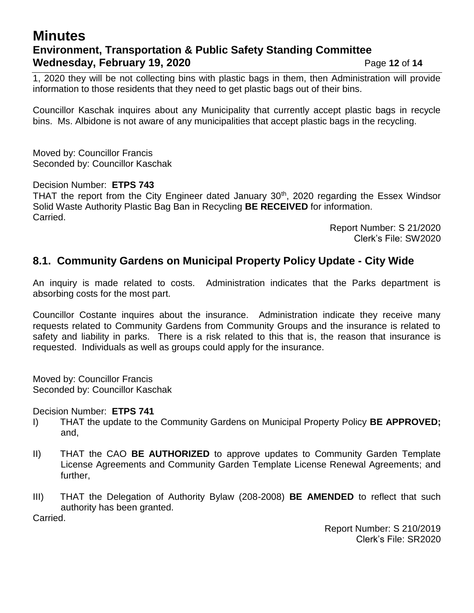# **Minutes Environment, Transportation & Public Safety Standing Committee Wednesday, February 19, 2020** Page 12 of 14

1, 2020 they will be not collecting bins with plastic bags in them, then Administration will provide information to those residents that they need to get plastic bags out of their bins.

Councillor Kaschak inquires about any Municipality that currently accept plastic bags in recycle bins. Ms. Albidone is not aware of any municipalities that accept plastic bags in the recycling.

Moved by: Councillor Francis Seconded by: Councillor Kaschak

Decision Number: **ETPS 743**

THAT the report from the City Engineer dated January 30<sup>th</sup>, 2020 regarding the Essex Windsor Solid Waste Authority Plastic Bag Ban in Recycling **BE RECEIVED** for information. Carried.

> Report Number: S 21/2020 Clerk's File: SW2020

## **8.1. Community Gardens on Municipal Property Policy Update - City Wide**

An inquiry is made related to costs. Administration indicates that the Parks department is absorbing costs for the most part.

Councillor Costante inquires about the insurance. Administration indicate they receive many requests related to Community Gardens from Community Groups and the insurance is related to safety and liability in parks. There is a risk related to this that is, the reason that insurance is requested. Individuals as well as groups could apply for the insurance.

Moved by: Councillor Francis Seconded by: Councillor Kaschak

Decision Number: **ETPS 741**

- I) THAT the update to the Community Gardens on Municipal Property Policy **BE APPROVED;**  and,
- II) THAT the CAO **BE AUTHORIZED** to approve updates to Community Garden Template License Agreements and Community Garden Template License Renewal Agreements; and further,
- III) THAT the Delegation of Authority Bylaw (208-2008) **BE AMENDED** to reflect that such authority has been granted.

Carried.

Report Number: S 210/2019 Clerk's File: SR2020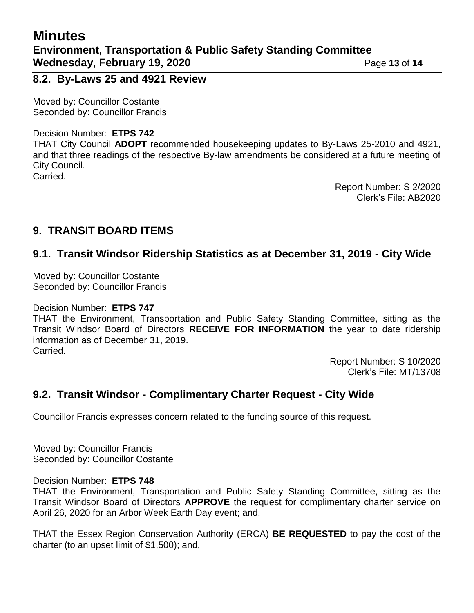## **Minutes Environment, Transportation & Public Safety Standing Committee Wednesday, February 19, 2020** Page 13 of 14

**8.2. By-Laws 25 and 4921 Review**

Moved by: Councillor Costante Seconded by: Councillor Francis

#### Decision Number: **ETPS 742**

THAT City Council **ADOPT** recommended housekeeping updates to By-Laws 25-2010 and 4921, and that three readings of the respective By-law amendments be considered at a future meeting of City Council. Carried.

> Report Number: S 2/2020 Clerk's File: AB2020

## **9. TRANSIT BOARD ITEMS**

## **9.1. Transit Windsor Ridership Statistics as at December 31, 2019 - City Wide**

Moved by: Councillor Costante Seconded by: Councillor Francis

#### Decision Number: **ETPS 747**

THAT the Environment, Transportation and Public Safety Standing Committee, sitting as the Transit Windsor Board of Directors **RECEIVE FOR INFORMATION** the year to date ridership information as of December 31, 2019. Carried.

> Report Number: S 10/2020 Clerk's File: MT/13708

## **9.2. Transit Windsor - Complimentary Charter Request - City Wide**

Councillor Francis expresses concern related to the funding source of this request.

Moved by: Councillor Francis Seconded by: Councillor Costante

#### Decision Number: **ETPS 748**

THAT the Environment, Transportation and Public Safety Standing Committee, sitting as the Transit Windsor Board of Directors **APPROVE** the request for complimentary charter service on April 26, 2020 for an Arbor Week Earth Day event; and,

THAT the Essex Region Conservation Authority (ERCA) **BE REQUESTED** to pay the cost of the charter (to an upset limit of \$1,500); and,